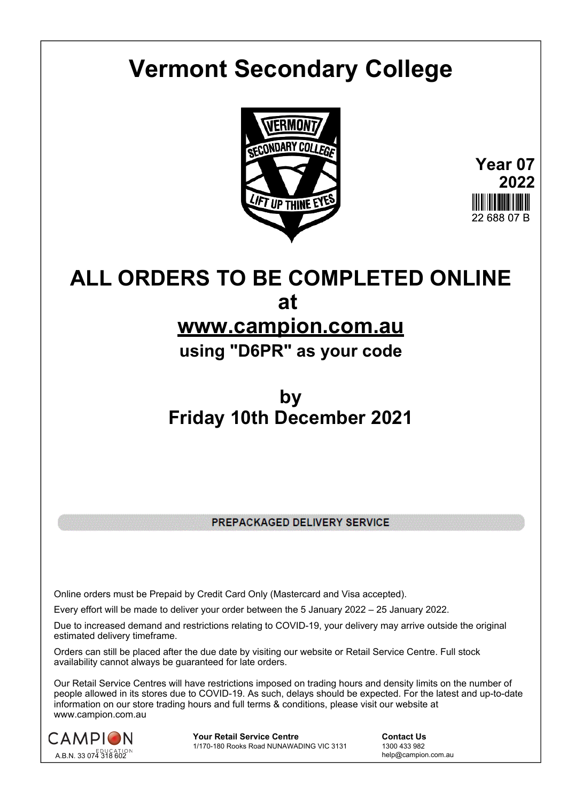# **Vermont Secondary College**



**Year 07 2022** 22 688 07 B

# **ALL ORDERS TO BE COMPLETED ONLINE at**

## **www.campion.com.au**

**using "D6PR" as your code**

# **by Friday 10th December 2021**

PREPACKAGED DELIVERY SERVICE

Online orders must be Prepaid by Credit Card Only (Mastercard and Visa accepted).

Every effort will be made to deliver your order between the 5 January 2022 – 25 January 2022.

Due to increased demand and restrictions relating to COVID-19, your delivery may arrive outside the original estimated delivery timeframe.

Orders can still be placed after the due date by visiting our website or Retail Service Centre. Full stock availability cannot always be guaranteed for late orders.

Our Retail Service Centres will have restrictions imposed on trading hours and density limits on the number of people allowed in its stores due to COVID-19. As such, delays should be expected. For the latest and up-to-date information on our store trading hours and full terms & conditions, please visit our website at www.campion.com.au



**Your Retail Service Centre Contact Us**<br>
1770-180 Rooks Road NUNAWADING VIC 3131
1300 433 982 1/170-180 Rooks Road NUNAWADING VIC 3131

help@campion.com.au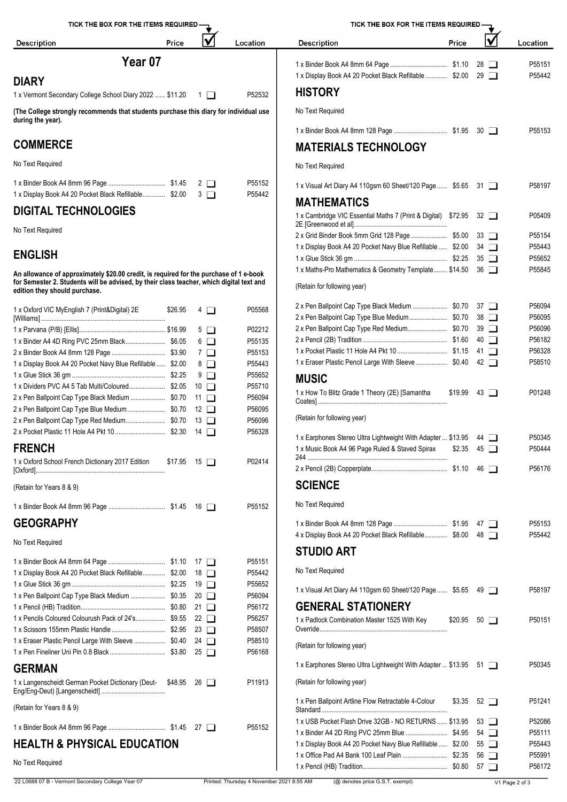| TICK THE BOX FOR THE ITEMS REQUIRED -                                                                      |         |          |                  | TICK THE BOX FOR THE ITEMS REQUIRED -                                        |       |  |          |
|------------------------------------------------------------------------------------------------------------|---------|----------|------------------|------------------------------------------------------------------------------|-------|--|----------|
| <b>Description</b>                                                                                         | Price   |          | Location         | <b>Description</b>                                                           | Price |  | Location |
|                                                                                                            | Year 07 |          |                  |                                                                              |       |  | P55151   |
| <b>DIARY</b>                                                                                               |         |          |                  | 1 x Display Book A4 20 Pocket Black Refillable \$2.00 29                     |       |  | P55442   |
| 1 x Vermont Secondary College School Diary 2022  \$11.20                                                   |         |          | P52532           | <b>HISTORY</b>                                                               |       |  |          |
| (The College strongly recommends that students purchase this diary for individual use<br>during the year). |         |          | No Text Required |                                                                              |       |  |          |
|                                                                                                            |         |          |                  |                                                                              |       |  | P55153   |
| <b>COMMERCE</b>                                                                                            |         |          |                  | <b>MATERIALS TECHNOLOGY</b>                                                  |       |  |          |
| No Text Required                                                                                           |         |          |                  | No Text Required                                                             |       |  |          |
|                                                                                                            |         | $2 \Box$ | P55152           | 1 x Visual Art Diary A4 110gsm 60 Sheet/120 Page \$5.65 31                   |       |  | P58197   |
| 1 x Display Book A4 20 Pocket Black Refillable \$2.00                                                      |         | $3\Box$  | P55442           | <b>MATHEMATICS</b>                                                           |       |  |          |
| <b>DIGITAL TECHNOLOGIES</b>                                                                                |         |          |                  | $1 \vee$ Combridge $110$ Essential Mathe 7 (Drint $0$ Digital) $0.7905 - 22$ |       |  | DOE 400  |

#### No Text Required

### **ENGLISH**

**An allowance of approximately \$20.00 credit, is required for the purchase of 1 e-book for Semester 2. Students will be advised, by their class teacher, which digital text and edition they should purchase.**

| 1 x Oxford VIC MyEnglish 7 (Print&Digital) 2E                | \$26.95            |             | $4\Box$    | P05568 | 2 x Pen Ballpoint Cap Type Black Medium  \$0.70 37                                                                                                                                                                                                                                                                                                                                                                                                    |  | P56094           |
|--------------------------------------------------------------|--------------------|-------------|------------|--------|-------------------------------------------------------------------------------------------------------------------------------------------------------------------------------------------------------------------------------------------------------------------------------------------------------------------------------------------------------------------------------------------------------------------------------------------------------|--|------------------|
|                                                              |                    |             |            |        | 2 x Pen Ballpoint Cap Type Blue Medium \$0.70 38                                                                                                                                                                                                                                                                                                                                                                                                      |  | P56095           |
|                                                              |                    |             | $5\Box$    | P02212 |                                                                                                                                                                                                                                                                                                                                                                                                                                                       |  | P56096           |
|                                                              |                    |             | $6$ $\Box$ | P55135 |                                                                                                                                                                                                                                                                                                                                                                                                                                                       |  | P56182           |
|                                                              |                    |             | 7 □        | P55153 |                                                                                                                                                                                                                                                                                                                                                                                                                                                       |  | P56328           |
| 1 x Display Book A4 20 Pocket Navy Blue Refillable  \$2.00   |                    |             | $8\Box$    | P55443 | 1 x Eraser Plastic Pencil Large With Sleeve  \$0.40 42                                                                                                                                                                                                                                                                                                                                                                                                |  | P58510           |
|                                                              |                    |             | $9$ $\Box$ | P55652 | <b>MUSIC</b>                                                                                                                                                                                                                                                                                                                                                                                                                                          |  |                  |
|                                                              |                    | $10$ $\Box$ |            | P55710 |                                                                                                                                                                                                                                                                                                                                                                                                                                                       |  |                  |
| 2 x Pen Ballpoint Cap Type Black Medium  \$0.70 11           |                    |             |            | P56094 | 1 x How To Blitz Grade 1 Theory (2E) [Samantha<br>$$19.99$ 43 $\Box$                                                                                                                                                                                                                                                                                                                                                                                  |  | P01248           |
|                                                              |                    |             |            | P56095 |                                                                                                                                                                                                                                                                                                                                                                                                                                                       |  |                  |
|                                                              |                    |             |            | P56096 | (Retain for following year)                                                                                                                                                                                                                                                                                                                                                                                                                           |  |                  |
|                                                              |                    |             |            | P56328 | 1 x Earphones Stereo Ultra Lightweight With Adapter  \$13.95 44                                                                                                                                                                                                                                                                                                                                                                                       |  | P50345           |
| <b>FRENCH</b>                                                |                    |             |            |        | 1 x Music Book A4 96 Page Ruled & Staved Spirax<br>$$2.35$ 45 $\Box$                                                                                                                                                                                                                                                                                                                                                                                  |  | P50444           |
|                                                              |                    |             |            |        |                                                                                                                                                                                                                                                                                                                                                                                                                                                       |  |                  |
| 1 x Oxford School French Dictionary 2017 Edition             | $$17.95$ 15 $\Box$ |             |            | P02414 |                                                                                                                                                                                                                                                                                                                                                                                                                                                       |  | P56176           |
| (Retain for Years 8 & 9)                                     |                    |             |            |        | <b>SCIENCE</b>                                                                                                                                                                                                                                                                                                                                                                                                                                        |  |                  |
|                                                              |                    |             |            | P55152 | No Text Required                                                                                                                                                                                                                                                                                                                                                                                                                                      |  |                  |
| <b>GEOGRAPHY</b>                                             |                    |             |            |        |                                                                                                                                                                                                                                                                                                                                                                                                                                                       |  | P55153           |
|                                                              |                    |             |            |        | 4 x Display Book A4 20 Pocket Black Refillable \$8.00 48                                                                                                                                                                                                                                                                                                                                                                                              |  | P55442           |
| No Text Required                                             |                    |             |            |        | <b>STUDIO ART</b>                                                                                                                                                                                                                                                                                                                                                                                                                                     |  |                  |
|                                                              |                    |             |            | P55151 |                                                                                                                                                                                                                                                                                                                                                                                                                                                       |  |                  |
| 1 x Display Book A4 20 Pocket Black Refillable \$2.00 18     |                    |             |            | P55442 | No Text Required                                                                                                                                                                                                                                                                                                                                                                                                                                      |  |                  |
|                                                              |                    |             |            | P55652 |                                                                                                                                                                                                                                                                                                                                                                                                                                                       |  |                  |
| 1 x Pen Ballpoint Cap Type Black Medium  \$0.35 20           |                    |             |            | P56094 | 1 x Visual Art Diary A4 110gsm 60 Sheet/120 Page \$5.65 49                                                                                                                                                                                                                                                                                                                                                                                            |  | P58197           |
|                                                              |                    |             |            | P56172 | <b>GENERAL STATIONERY</b>                                                                                                                                                                                                                                                                                                                                                                                                                             |  |                  |
| 1 x Pencils Coloured Colourush Pack of 24's \$9.55 22        |                    |             |            | P56257 | 1 x Padlock Combination Master 1525 With Key<br>$$20.95$ 50 $\Box$                                                                                                                                                                                                                                                                                                                                                                                    |  | P50151           |
|                                                              |                    | 23 □        |            | P58507 |                                                                                                                                                                                                                                                                                                                                                                                                                                                       |  |                  |
| 1 x Eraser Plastic Pencil Large With Sleeve  \$0.40 24       |                    |             |            | P58510 | (Retain for following year)                                                                                                                                                                                                                                                                                                                                                                                                                           |  |                  |
|                                                              |                    |             |            | P56168 |                                                                                                                                                                                                                                                                                                                                                                                                                                                       |  |                  |
| <b>GERMAN</b>                                                |                    |             |            |        | 1 x Earphones Stereo Ultra Lightweight With Adapter  \$13.95 51                                                                                                                                                                                                                                                                                                                                                                                       |  | P50345           |
| 1 x Langenscheidt German Pocket Dictionary (Deut- \$48.95 26 |                    |             |            | P11913 | (Retain for following year)                                                                                                                                                                                                                                                                                                                                                                                                                           |  |                  |
| (Retain for Years 8 & 9)                                     |                    |             |            |        | 1 x Pen Ballpoint Artline Flow Retractable 4-Colour<br>$$3.35 \quad 52 \quad \Box$                                                                                                                                                                                                                                                                                                                                                                    |  | P51241           |
|                                                              |                    |             |            | P55152 | 1 x USB Pocket Flash Drive 32GB - NO RETURNS \$13.95 53                                                                                                                                                                                                                                                                                                                                                                                               |  | P52086           |
|                                                              |                    |             |            |        |                                                                                                                                                                                                                                                                                                                                                                                                                                                       |  | P55111           |
| <b>HEALTH &amp; PHYSICAL EDUCATION</b>                       |                    |             |            |        | 1 x Display Book A4 20 Pocket Navy Blue Refillable  \$2.00 55<br>$\overline{A}$ $\overline{O}$ $\overline{O}$ $\overline{O}$ $\overline{O}$ $\overline{O}$ $\overline{O}$ $\overline{O}$ $\overline{O}$ $\overline{O}$ $\overline{O}$ $\overline{O}$ $\overline{O}$ $\overline{O}$ $\overline{O}$ $\overline{O}$ $\overline{O}$ $\overline{O}$ $\overline{O}$ $\overline{O}$ $\overline{O}$ $\overline{O}$ $\overline{O}$ $\overline{O}$ $\overline{$ |  | P55443<br>DEE004 |
|                                                              |                    |             |            |        |                                                                                                                                                                                                                                                                                                                                                                                                                                                       |  |                  |

**DIGITAL TECHNOLOGIES HISTORY MATERIALS TECHNOLOGY** No Text Required **MATHEMATICS** (Retain for following year) **MUSIC SCIENCE** No Text Required **STUDIO ART** No Text Required **GENERAL STATIONERY** 1 x Pencil (HB) Tradition................................................. \$0.80 21 P56172 (Retain for following year) [Williams] ........................................................................ \$26.95 <sup>4</sup> P05568 2 x Pen Ballpoint Cap Type Blue Medium...................... \$0.70 38 P56095 1 x Parvana (P/B) [Ellis].................................................. \$16.99 5 P02212 2 x Pen Ballpoint Cap Type Red Medium....................... \$0.70 39 P56096 1 x Binder A4 4D Ring PVC 25mm Black....................... \$6.05 6 P55135 2 x Pencil (2B) Tradition ................................................. \$1.60 40 P56182 2 x Binder Book A4 8mm 128 Page ............................... \$3.90 7 P55153 1 x Pocket Plastic 11 Hole A4 Pkt 10 ............................. \$1.15 41 P56328 1 x Display Book A4 20 Pocket Navy Blue Refillable ..... \$2.00 8 D P55443 PS5443 P 1 x Eraser Plastic Pencil Large With Sleeve ..................... \$0.40 42 D P58510 1 x Dividers PVC A4 5 Tab Multi/Coloured..................... \$2.05 10 P55710 1 x How To Blitz Grade 1 Theory (2E) [Samantha 2 x Pen Ballpoint Cap Type Black Medium .................... \$0.70 11 P56094 Coates] ........................................................................... \$19.99 <sup>43</sup> P01248 2 x Pocket Plastic 11 Hole A4 Pkt 10 ............................. \$2.30 14 P56328 1 x Earphones Stereo Ultra Lightweight With Adapter ... \$13.95 44 P50345 [Oxford]........................................................................... \$17.95 <sup>15</sup> P02414 2 x Pencil (2B) Copperplate............................................ \$1.10 46 P56176 1 x Glue Stick 36 gm ...................................................... \$2.25 19 P55652 1 x Visual Art Diary A4 110gsm 60 Sheet/120 Page...... \$5.65 49 P58197 1 x Pencils Coloured Colourush Pack of 24's................. \$9.55 22 P56257 1 x Padlock Combination Master 1525 With Key Override.......................................................................... \$20.95 <sup>50</sup> P50151 17 **Override ....................**.. 1 x Binder Book A4 8mm 96 Page ................................. \$1.45 27 P55152 1 x Binder A4 2D Ring PVC 25mm Blue ........................ \$4.95 54 P55111 1 x Display Book A4 20 Pocket Black Refillable................ \$2.00 29 P 1 x Binder Book A4 8mm 128 Page ............................... \$1.95 30 P55153 2E [Greenwood et al]...................................................... \$72.95 <sup>32</sup> P05409 2 x Grid Binder Book 5mm Grid 128 Page ..................... \$5.00 33 P55154 1 x Display Book A4 20 Pocket Navy Blue Refillable ..... \$2.00 34 PS5443 1 x Glue Stick 36 gm ...................................................... \$2.25 35 P55652 1 x Maths-Pro Mathematics & Geometry Template........ \$14.50 36 PS5845 2 x Pen Ballpoint Cap Type Black Medium ........................ \$0.70 37 P56094 1 x Music Book A4 96 Page Ruled & Staved Spirax <sup>244</sup> ................................................................................. \$2.35 <sup>45</sup> P50444 1 x Binder Book A4 8mm 128 Page ............................... \$1.95 47 P55153 4 x Display Book A4 20 Pocket Black Refillable............... \$8.00 48 1 x Earphones Stereo Ultra Lightweight With Adapter ... \$13.95 51 PS0345 1 x Pen Ballpoint Artline Flow Retractable 4-Colour \$3.35 52 Standard......................................................................... \$3.35 <sup>52</sup> P51241 1 x USB Pocket Flash Drive 32GB - NO RETURNS...... \$13.95 53 PS2086

1 x Office Pad A4 Bank 100 Leaf Plain .......................... \$2.35 56 P55991 1 x Pencil (HB) Tradition................................................. \$0.80 57 P56172

No Text Required